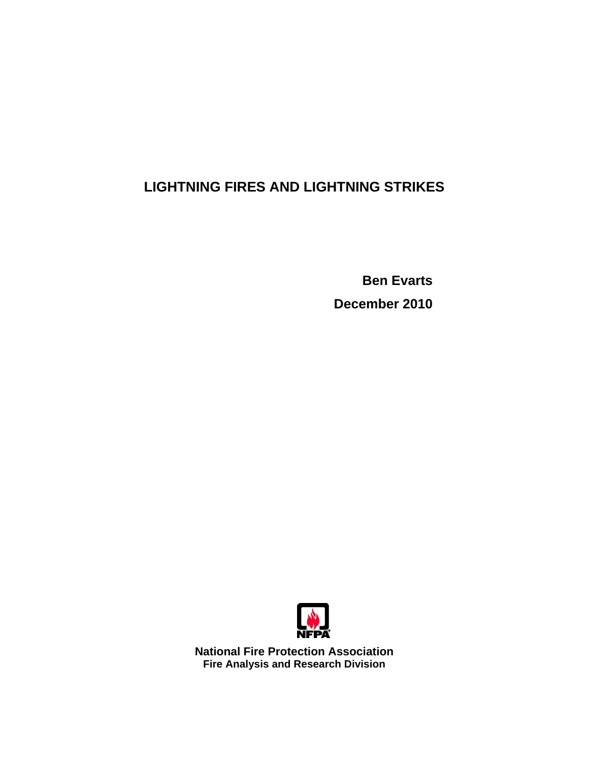## **LIGHTNING FIRES AND LIGHTNING STRIKES**

**Ben Evarts December 2010** 



**National Fire Protection Association Fire Analysis and Research Division**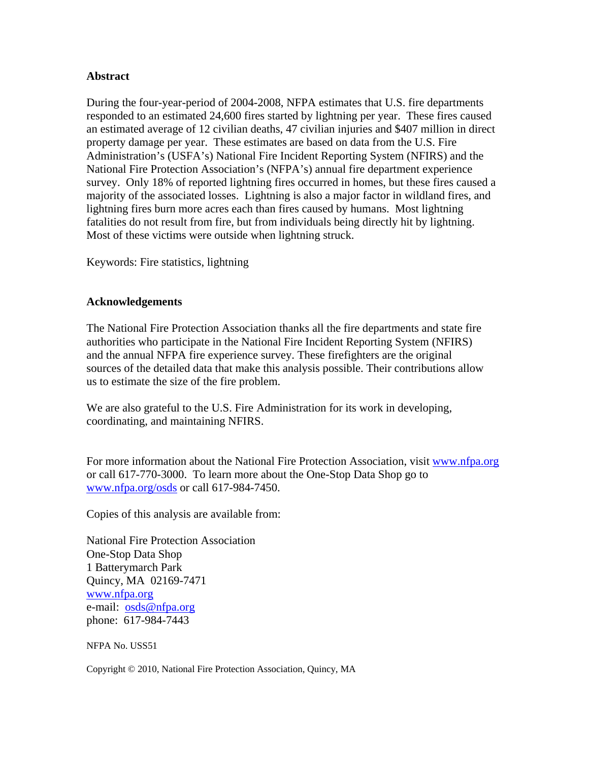#### **Abstract**

During the four-year-period of 2004-2008, NFPA estimates that U.S. fire departments responded to an estimated 24,600 fires started by lightning per year. These fires caused an estimated average of 12 civilian deaths, 47 civilian injuries and \$407 million in direct property damage per year. These estimates are based on data from the U.S. Fire Administration's (USFA's) National Fire Incident Reporting System (NFIRS) and the National Fire Protection Association's (NFPA's) annual fire department experience survey. Only 18% of reported lightning fires occurred in homes, but these fires caused a majority of the associated losses. Lightning is also a major factor in wildland fires, and lightning fires burn more acres each than fires caused by humans. Most lightning fatalities do not result from fire, but from individuals being directly hit by lightning. Most of these victims were outside when lightning struck.

Keywords: Fire statistics, lightning

#### **Acknowledgements**

The National Fire Protection Association thanks all the fire departments and state fire authorities who participate in the National Fire Incident Reporting System (NFIRS) and the annual NFPA fire experience survey. These firefighters are the original sources of the detailed data that make this analysis possible. Their contributions allow us to estimate the size of the fire problem.

We are also grateful to the U.S. Fire Administration for its work in developing, coordinating, and maintaining NFIRS.

For more information about the National Fire Protection Association, visit [www.nfpa.org](http://www.nfpa.org) or call 617-770-3000. To learn more about the One-Stop Data Shop go to [www.nfpa.org/osds or](http://www.nfpa.org/osds) call 617-984-7450.

Copies of this analysis are available from:

National Fire Protection Association One-Stop Data Shop 1 Batterymarch Park Quincy, MA 02169-7471 [www.nfpa.org](http://www.nfpa.org) e-mail: [osds@nfpa.org](mailto:osds@nfpa.org) phone: 617-984-7443

NFPA No. USS51

Copyright © 2010, National Fire Protection Association, Quincy, MA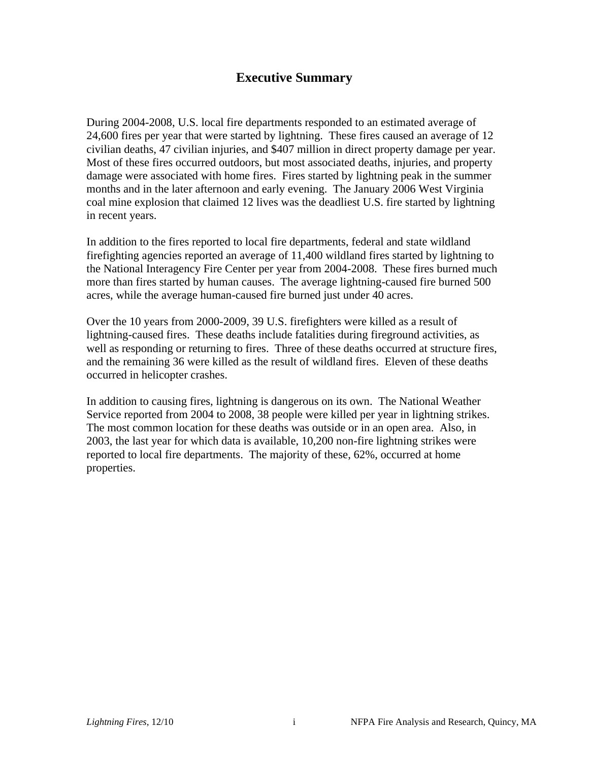### **Executive Summary**

During 2004-2008, U.S. local fire departments responded to an estimated average of 24,600 fires per year that were started by lightning. These fires caused an average of 12 civilian deaths, 47 civilian injuries, and \$407 million in direct property damage per year. Most of these fires occurred outdoors, but most associated deaths, injuries, and property damage were associated with home fires. Fires started by lightning peak in the summer months and in the later afternoon and early evening. The January 2006 West Virginia coal mine explosion that claimed 12 lives was the deadliest U.S. fire started by lightning in recent years.

In addition to the fires reported to local fire departments, federal and state wildland firefighting agencies reported an average of 11,400 wildland fires started by lightning to the National Interagency Fire Center per year from 2004-2008. These fires burned much more than fires started by human causes. The average lightning-caused fire burned 500 acres, while the average human-caused fire burned just under 40 acres.

Over the 10 years from 2000-2009, 39 U.S. firefighters were killed as a result of lightning-caused fires. These deaths include fatalities during fireground activities, as well as responding or returning to fires. Three of these deaths occurred at structure fires, and the remaining 36 were killed as the result of wildland fires. Eleven of these deaths occurred in helicopter crashes.

In addition to causing fires, lightning is dangerous on its own. The National Weather Service reported from 2004 to 2008, 38 people were killed per year in lightning strikes. The most common location for these deaths was outside or in an open area. Also, in 2003, the last year for which data is available, 10,200 non-fire lightning strikes were reported to local fire departments. The majority of these, 62%, occurred at home properties.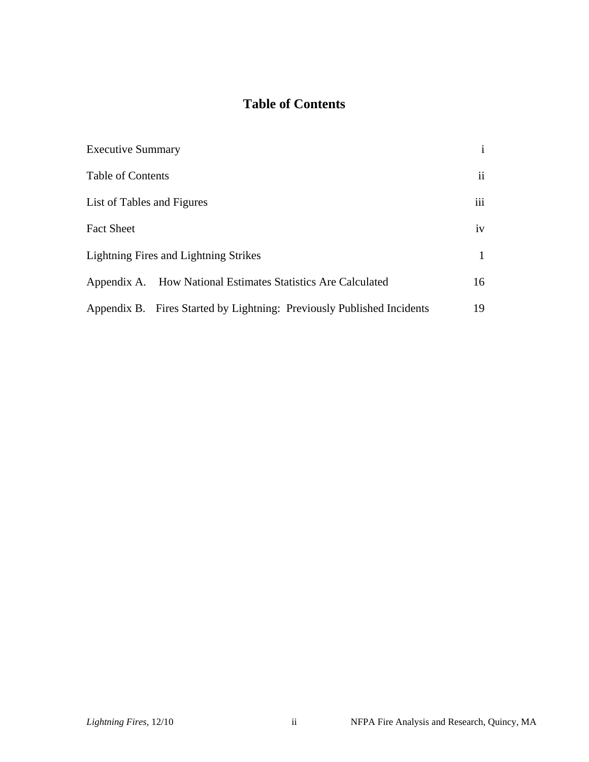## **Table of Contents**

| <b>Executive Summary</b>                                               | $\mathbf{i}$  |
|------------------------------------------------------------------------|---------------|
| Table of Contents                                                      | $\mathbf{ii}$ |
| List of Tables and Figures                                             | iii           |
| <b>Fact Sheet</b>                                                      | iv            |
| <b>Lightning Fires and Lightning Strikes</b>                           |               |
| Appendix A. How National Estimates Statistics Are Calculated           | 16            |
| Appendix B. Fires Started by Lightning: Previously Published Incidents | 19            |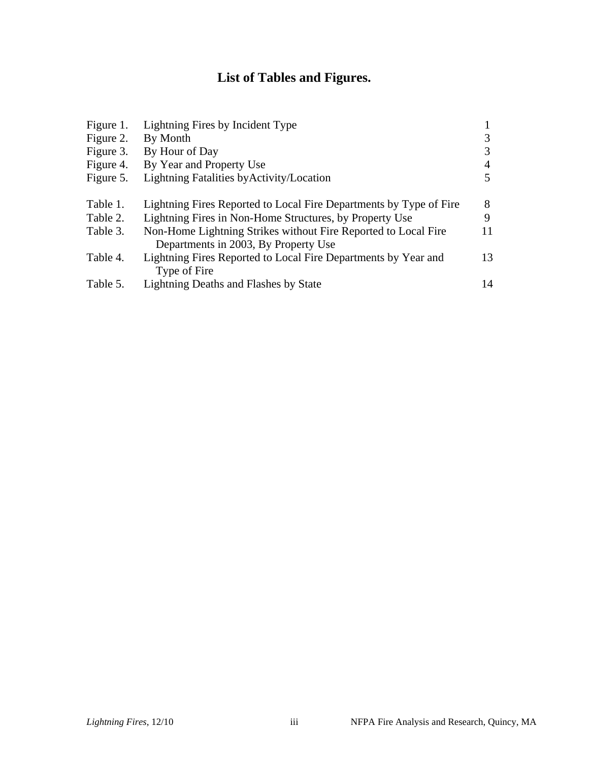# **List of Tables and Figures.**

| Figure 1. | Lightning Fires by Incident Type                                   |    |
|-----------|--------------------------------------------------------------------|----|
| Figure 2. | By Month                                                           |    |
| Figure 3. | By Hour of Day                                                     |    |
| Figure 4. | By Year and Property Use                                           |    |
| Figure 5. | Lightning Fatalities by Activity/Location                          |    |
| Table 1.  | Lightning Fires Reported to Local Fire Departments by Type of Fire | 8  |
| Table 2.  | Lightning Fires in Non-Home Structures, by Property Use            | 9  |
| Table 3.  | Non-Home Lightning Strikes without Fire Reported to Local Fire     | 11 |
|           | Departments in 2003, By Property Use                               |    |
| Table 4.  | Lightning Fires Reported to Local Fire Departments by Year and     | 13 |
|           | Type of Fire                                                       |    |
| Table 5.  | <b>Lightning Deaths and Flashes by State</b>                       | 14 |